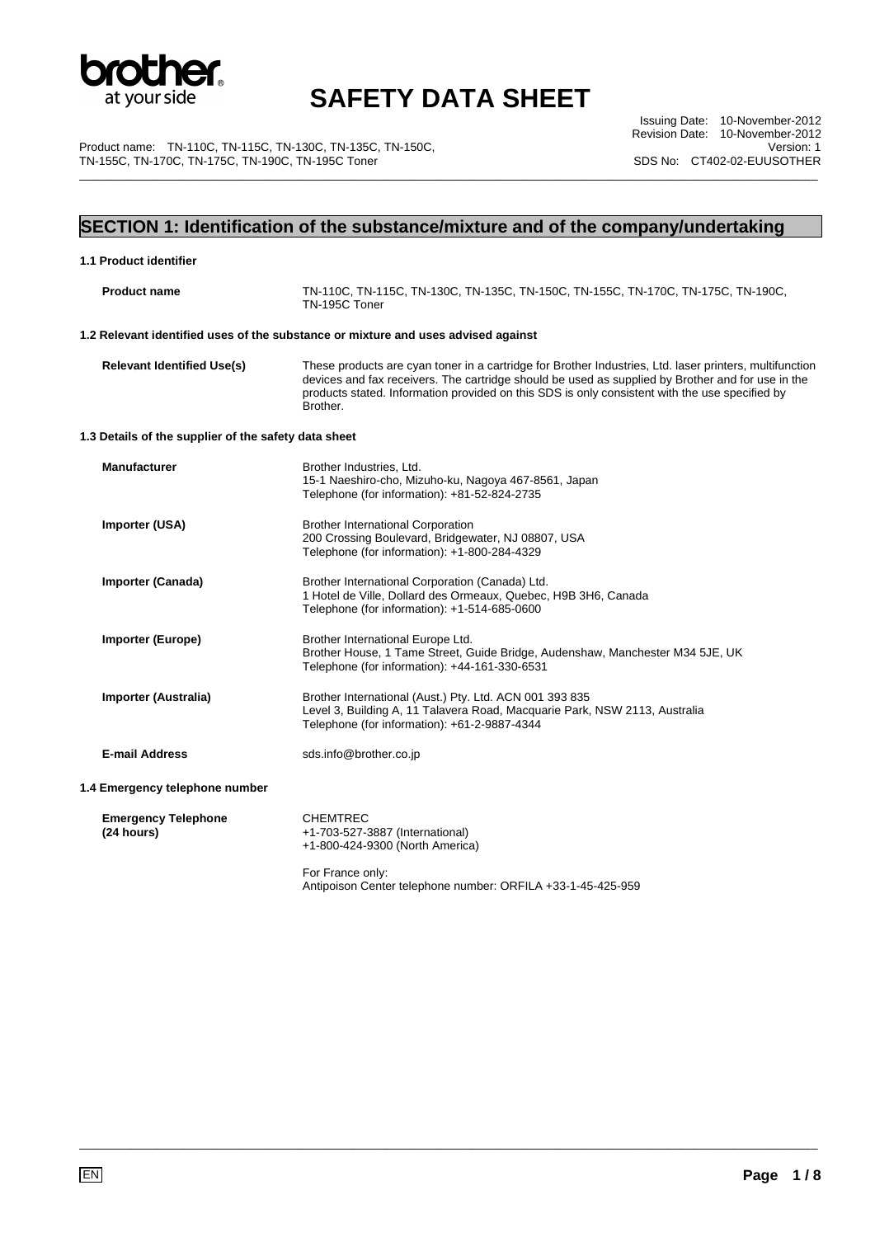

Product name: TN-110C, TN-115C, TN-130C, TN-135C, TN-150C, TN-155C, TN-170C, TN-175C, TN-190C, TN-195C Toner

Issuing Date: 10-November-2012 Revision Date: 10-November-2012 Version: 1 SDS No: CT402-02-EUUSOTHER \_\_\_\_\_\_\_\_\_\_\_\_\_\_\_\_\_\_\_\_\_\_\_\_\_\_\_\_\_\_\_\_\_\_\_\_\_\_\_\_\_\_\_\_\_\_\_\_\_\_\_\_\_\_\_\_\_\_\_\_\_\_\_\_\_\_\_\_\_\_\_\_\_\_\_\_\_\_\_\_\_\_\_\_\_\_\_\_\_\_\_\_\_\_\_\_\_\_\_\_\_\_\_\_\_\_\_\_\_\_\_\_\_

### **SECTION 1: Identification of the substance/mixture and of the company/undertaking**

| 1.1 Product identifier                               |                                                                                                                                                                                                                                                                                                                            |
|------------------------------------------------------|----------------------------------------------------------------------------------------------------------------------------------------------------------------------------------------------------------------------------------------------------------------------------------------------------------------------------|
| <b>Product name</b>                                  | TN-110C, TN-115C, TN-130C, TN-135C, TN-150C, TN-155C, TN-170C, TN-175C, TN-190C,<br>TN-195C Toner                                                                                                                                                                                                                          |
|                                                      | 1.2 Relevant identified uses of the substance or mixture and uses advised against                                                                                                                                                                                                                                          |
| <b>Relevant Identified Use(s)</b>                    | These products are cyan toner in a cartridge for Brother Industries, Ltd. laser printers, multifunction<br>devices and fax receivers. The cartridge should be used as supplied by Brother and for use in the<br>products stated. Information provided on this SDS is only consistent with the use specified by<br>Brother. |
| 1.3 Details of the supplier of the safety data sheet |                                                                                                                                                                                                                                                                                                                            |
| <b>Manufacturer</b>                                  | Brother Industries, Ltd.<br>15-1 Naeshiro-cho, Mizuho-ku, Nagoya 467-8561, Japan<br>Telephone (for information): +81-52-824-2735                                                                                                                                                                                           |
| Importer (USA)                                       | <b>Brother International Corporation</b><br>200 Crossing Boulevard, Bridgewater, NJ 08807, USA<br>Telephone (for information): +1-800-284-4329                                                                                                                                                                             |
| <b>Importer (Canada)</b>                             | Brother International Corporation (Canada) Ltd.<br>1 Hotel de Ville, Dollard des Ormeaux, Quebec, H9B 3H6, Canada<br>Telephone (for information): +1-514-685-0600                                                                                                                                                          |
| <b>Importer (Europe)</b>                             | Brother International Europe Ltd.<br>Brother House, 1 Tame Street, Guide Bridge, Audenshaw, Manchester M34 5JE, UK<br>Telephone (for information): +44-161-330-6531                                                                                                                                                        |
| Importer (Australia)                                 | Brother International (Aust.) Pty. Ltd. ACN 001 393 835<br>Level 3, Building A, 11 Talavera Road, Macquarie Park, NSW 2113, Australia<br>Telephone (for information): +61-2-9887-4344                                                                                                                                      |
| <b>E-mail Address</b>                                | sds.info@brother.co.jp                                                                                                                                                                                                                                                                                                     |
| 1.4 Emergency telephone number                       |                                                                                                                                                                                                                                                                                                                            |
| <b>Emergency Telephone</b><br>(24 hours)             | <b>CHEMTREC</b><br>+1-703-527-3887 (International)<br>+1-800-424-9300 (North America)                                                                                                                                                                                                                                      |
|                                                      | For France only:<br>Antipoison Center telephone number: ORFILA +33-1-45-425-959                                                                                                                                                                                                                                            |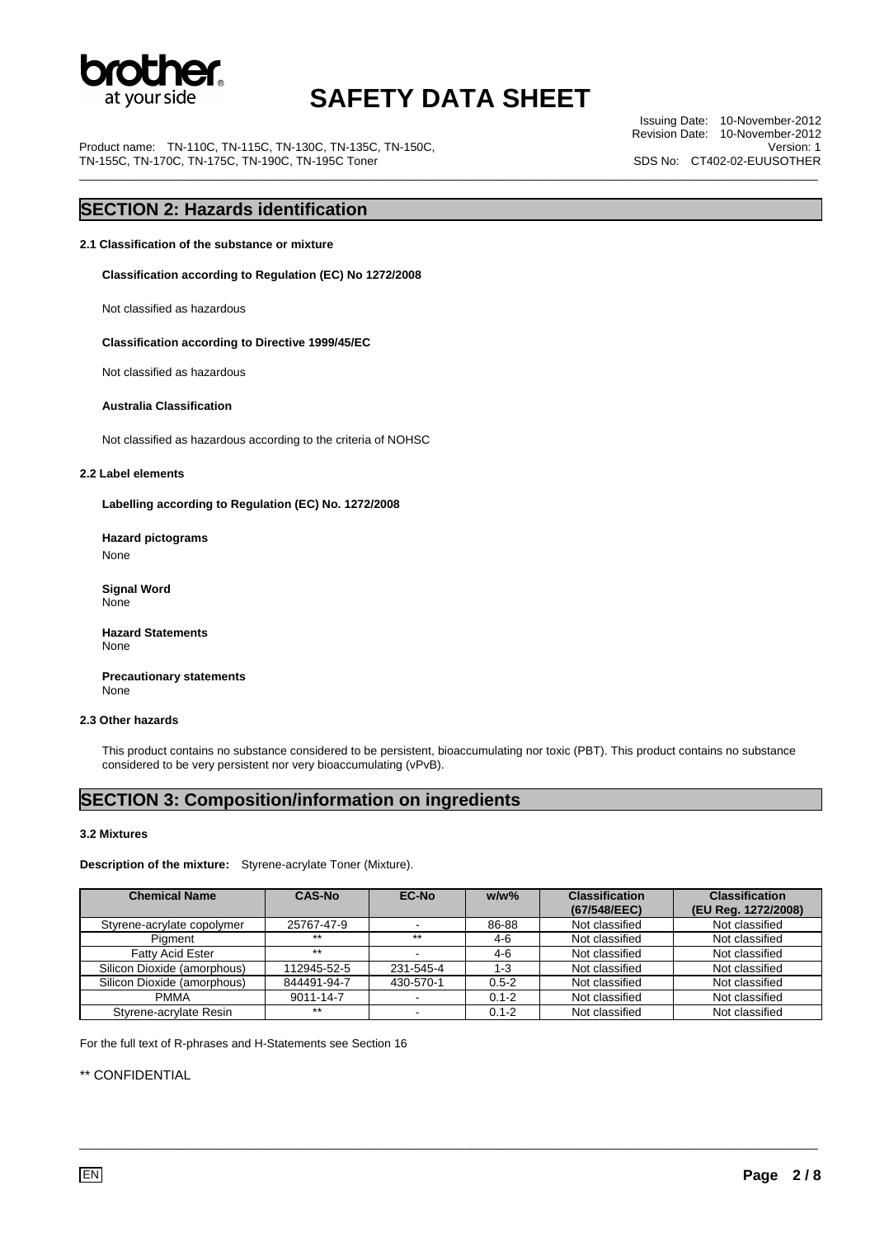

Product name: TN-110C, TN-115C, TN-130C, TN-135C, TN-150C, TN-155C, TN-170C, TN-175C, TN-190C, TN-195C Toner

Issuing Date: 10-November-2012 Revision Date: 10-November-2012 Version: 1 SDS No: CT402-02-EUUSOTHER \_\_\_\_\_\_\_\_\_\_\_\_\_\_\_\_\_\_\_\_\_\_\_\_\_\_\_\_\_\_\_\_\_\_\_\_\_\_\_\_\_\_\_\_\_\_\_\_\_\_\_\_\_\_\_\_\_\_\_\_\_\_\_\_\_\_\_\_\_\_\_\_\_\_\_\_\_\_\_\_\_\_\_\_\_\_\_\_\_\_\_\_\_\_\_\_\_\_\_\_\_\_\_\_\_\_\_\_\_\_\_\_\_

### **SECTION 2: Hazards identification**

**2.1 Classification of the substance or mixture** 

**Classification according to Regulation (EC) No 1272/2008** 

Not classified as hazardous

 **Classification according to Directive 1999/45/EC** 

Not classified as hazardous

#### **Australia Classification**

Not classified as hazardous according to the criteria of NOHSC

#### **2.2 Label elements**

**Labelling according to Regulation (EC) No. 1272/2008** 

**Hazard pictograms**  None

 **Signal Word**  None

**Hazard Statements**  None

 **Precautionary statements**  None

#### **2.3 Other hazards**

This product contains no substance considered to be persistent, bioaccumulating nor toxic (PBT). This product contains no substance considered to be very persistent nor very bioaccumulating (vPvB).

### **SECTION 3: Composition/information on ingredients**

#### **3.2 Mixtures**

**Description of the mixture:** Styrene-acrylate Toner (Mixture).

| <b>Chemical Name</b>        | <b>CAS-No</b> | <b>EC-No</b> | $w/w$ %   | <b>Classification</b><br>(67/548/EEC) | <b>Classification</b><br>(EU Reg. 1272/2008) |
|-----------------------------|---------------|--------------|-----------|---------------------------------------|----------------------------------------------|
| Styrene-acrylate copolymer  | 25767-47-9    |              | 86-88     | Not classified                        | Not classified                               |
| Piament                     | $***$         | $***$        | $4-6$     | Not classified                        | Not classified                               |
| <b>Fatty Acid Ester</b>     | $***$         |              | $4-6$     | Not classified                        | Not classified                               |
| Silicon Dioxide (amorphous) | 112945-52-5   | 231-545-4    | $1 - 3$   | Not classified                        | Not classified                               |
| Silicon Dioxide (amorphous) | 844491-94-7   | 430-570-1    | $0.5 - 2$ | Not classified                        | Not classified                               |
| <b>PMMA</b>                 | 9011-14-7     |              | $0.1 - 2$ | Not classified                        | Not classified                               |
| Styrene-acrylate Resin      | $***$         |              | $0.1 - 2$ | Not classified                        | Not classified                               |

\_\_\_\_\_\_\_\_\_\_\_\_\_\_\_\_\_\_\_\_\_\_\_\_\_\_\_\_\_\_\_\_\_\_\_\_\_\_\_\_\_\_\_\_\_\_\_\_\_\_\_\_\_\_\_\_\_\_\_\_\_\_\_\_\_\_\_\_\_\_\_\_\_\_\_\_\_\_\_\_\_\_\_\_\_\_\_\_\_\_\_\_\_\_\_\_\_\_\_\_\_\_\_\_\_\_\_\_\_\_\_\_\_

For the full text of R-phrases and H-Statements see Section 16

\*\* CONFIDENTIAL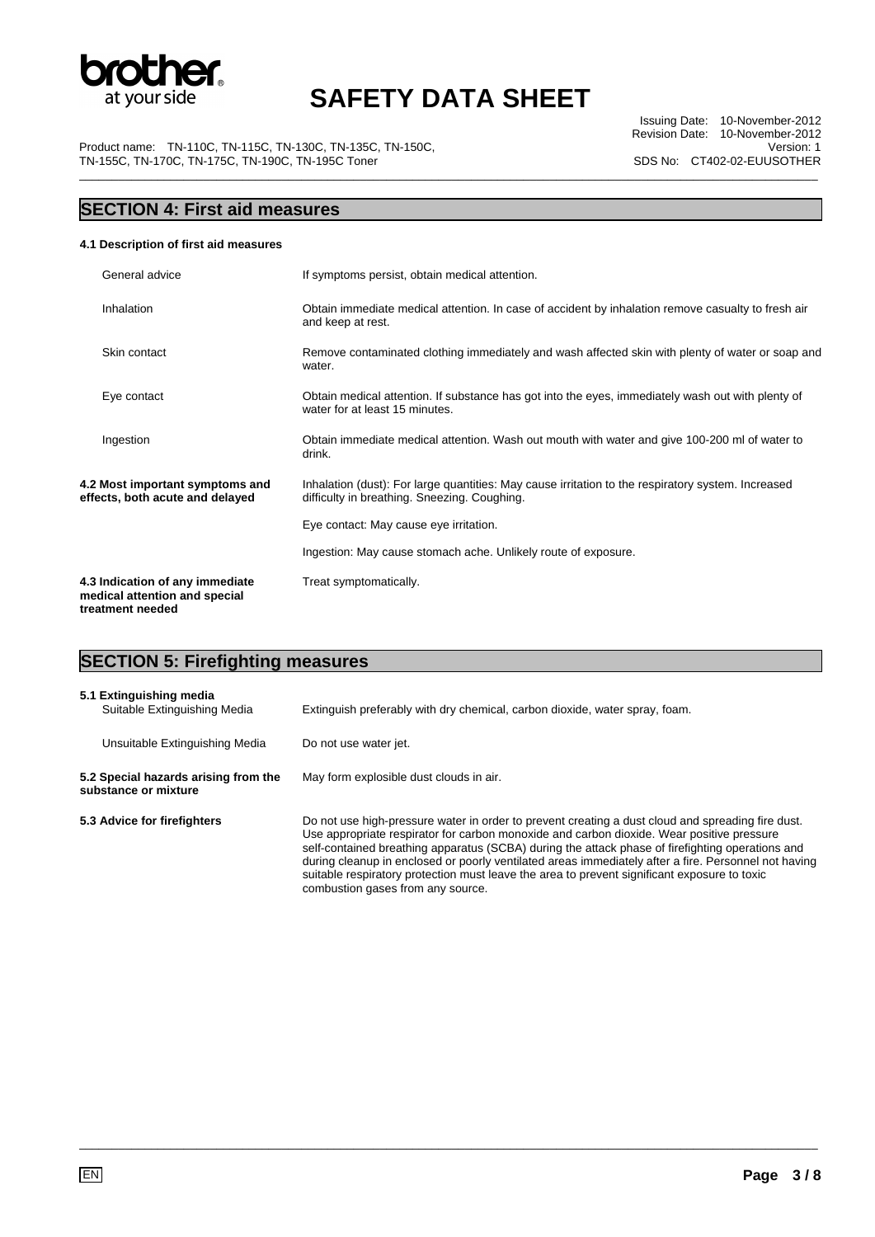

Product name: TN-110C, TN-115C, TN-130C, TN-135C, TN-150C, TN-155C, TN-170C, TN-175C, TN-190C, TN-195C Toner

## **SECTION 4: First aid measures**

#### **4.1 Description of first aid measures**

| General advice                                                                       | If symptoms persist, obtain medical attention.                                                                                                     |
|--------------------------------------------------------------------------------------|----------------------------------------------------------------------------------------------------------------------------------------------------|
| Inhalation                                                                           | Obtain immediate medical attention. In case of accident by inhalation remove casualty to fresh air<br>and keep at rest.                            |
| Skin contact                                                                         | Remove contaminated clothing immediately and wash affected skin with plenty of water or soap and<br>water.                                         |
| Eye contact                                                                          | Obtain medical attention. If substance has got into the eyes, immediately wash out with plenty of<br>water for at least 15 minutes.                |
| Ingestion                                                                            | Obtain immediate medical attention. Wash out mouth with water and give 100-200 ml of water to<br>drink.                                            |
| 4.2 Most important symptoms and<br>effects, both acute and delayed                   | Inhalation (dust): For large quantities: May cause irritation to the respiratory system. Increased<br>difficulty in breathing. Sneezing. Coughing. |
|                                                                                      | Eye contact: May cause eye irritation.                                                                                                             |
|                                                                                      | Ingestion: May cause stomach ache. Unlikely route of exposure.                                                                                     |
| 4.3 Indication of any immediate<br>medical attention and special<br>treatment needed | Treat symptomatically.                                                                                                                             |

## **SECTION 5: Firefighting measures**

| 5.1 Extinguishing media<br>Suitable Extinguishing Media      | Extinguish preferably with dry chemical, carbon dioxide, water spray, foam.                                                                                                                                                                                                                                                                                                                                                                                                                                                                     |
|--------------------------------------------------------------|-------------------------------------------------------------------------------------------------------------------------------------------------------------------------------------------------------------------------------------------------------------------------------------------------------------------------------------------------------------------------------------------------------------------------------------------------------------------------------------------------------------------------------------------------|
| Unsuitable Extinguishing Media                               | Do not use water jet.                                                                                                                                                                                                                                                                                                                                                                                                                                                                                                                           |
| 5.2 Special hazards arising from the<br>substance or mixture | May form explosible dust clouds in air.                                                                                                                                                                                                                                                                                                                                                                                                                                                                                                         |
| 5.3 Advice for firefighters                                  | Do not use high-pressure water in order to prevent creating a dust cloud and spreading fire dust.<br>Use appropriate respirator for carbon monoxide and carbon dioxide. Wear positive pressure<br>self-contained breathing apparatus (SCBA) during the attack phase of firefighting operations and<br>during cleanup in enclosed or poorly ventilated areas immediately after a fire. Personnel not having<br>suitable respiratory protection must leave the area to prevent significant exposure to toxic<br>combustion gases from any source. |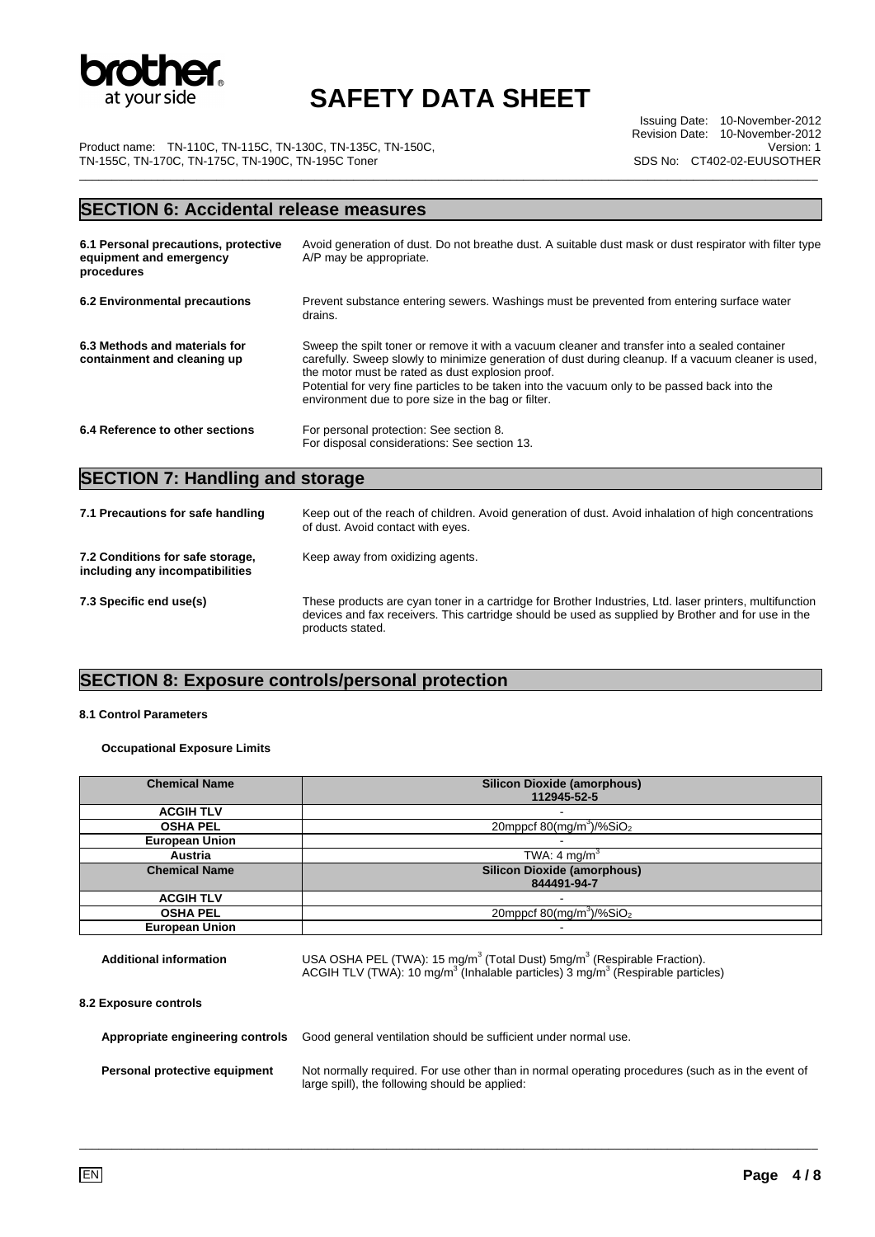

Issuing Date: 10-November-2012 Revision Date: 10-November-2012 Version: 1 SDS No: CT402-02-EUUSOTHER

Product name: TN-110C, TN-115C, TN-130C, TN-135C, TN-150C, TN-155C, TN-170C, TN-175C, TN-190C, TN-195C Toner \_\_\_\_\_\_\_\_\_\_\_\_\_\_\_\_\_\_\_\_\_\_\_\_\_\_\_\_\_\_\_\_\_\_\_\_\_\_\_\_\_\_\_\_\_\_\_\_\_\_\_\_\_\_\_\_\_\_\_\_\_\_\_\_\_\_\_\_\_\_\_\_\_\_\_\_\_\_\_\_\_\_\_\_\_\_\_\_\_\_\_\_\_\_\_\_\_\_\_\_\_\_\_\_\_\_\_\_\_\_\_\_\_

### **SECTION 6: Accidental release measures**

| 6.1 Personal precautions, protective<br>equipment and emergency<br>procedures | Avoid generation of dust. Do not breathe dust. A suitable dust mask or dust respirator with filter type<br>A/P may be appropriate.                                                                                                                                                                                                                                                                              |
|-------------------------------------------------------------------------------|-----------------------------------------------------------------------------------------------------------------------------------------------------------------------------------------------------------------------------------------------------------------------------------------------------------------------------------------------------------------------------------------------------------------|
| 6.2 Environmental precautions                                                 | Prevent substance entering sewers. Washings must be prevented from entering surface water<br>drains.                                                                                                                                                                                                                                                                                                            |
| 6.3 Methods and materials for<br>containment and cleaning up                  | Sweep the spilt toner or remove it with a vacuum cleaner and transfer into a sealed container<br>carefully. Sweep slowly to minimize generation of dust during cleanup. If a vacuum cleaner is used,<br>the motor must be rated as dust explosion proof.<br>Potential for very fine particles to be taken into the vacuum only to be passed back into the<br>environment due to pore size in the bag or filter. |
| 6.4 Reference to other sections                                               | For personal protection: See section 8.<br>For disposal considerations: See section 13.                                                                                                                                                                                                                                                                                                                         |

## **SECTION 7: Handling and storage**

| 7.1 Precautions for safe handling                                   | Keep out of the reach of children. Avoid generation of dust. Avoid inhalation of high concentrations<br>of dust. Avoid contact with eyes.                                                                                         |
|---------------------------------------------------------------------|-----------------------------------------------------------------------------------------------------------------------------------------------------------------------------------------------------------------------------------|
| 7.2 Conditions for safe storage,<br>including any incompatibilities | Keep away from oxidizing agents.                                                                                                                                                                                                  |
| 7.3 Specific end use(s)                                             | These products are cyan toner in a cartridge for Brother Industries, Ltd. laser printers, multifunction<br>devices and fax receivers. This cartridge should be used as supplied by Brother and for use in the<br>products stated. |

## **SECTION 8: Exposure controls/personal protection**

#### **8.1 Control Parameters**

#### **Occupational Exposure Limits**

| <b>Chemical Name</b>          | <b>Silicon Dioxide (amorphous)</b>                                                                                                                                                                        |
|-------------------------------|-----------------------------------------------------------------------------------------------------------------------------------------------------------------------------------------------------------|
|                               | 112945-52-5                                                                                                                                                                                               |
| <b>ACGIH TLV</b>              |                                                                                                                                                                                                           |
| <b>OSHA PEL</b>               | 20mppcf $80$ (mg/m <sup>3</sup> )/%SiO <sub>2</sub>                                                                                                                                                       |
| <b>European Union</b>         |                                                                                                                                                                                                           |
| <b>Austria</b>                | TWA: 4 mg/m <sup>3</sup>                                                                                                                                                                                  |
| <b>Chemical Name</b>          | <b>Silicon Dioxide (amorphous)</b>                                                                                                                                                                        |
|                               | 844491-94-7                                                                                                                                                                                               |
| <b>ACGIH TLV</b>              |                                                                                                                                                                                                           |
| <b>OSHA PEL</b>               | 20mppcf $80$ (mg/m <sup>3</sup> )/%SiO <sub>2</sub>                                                                                                                                                       |
| <b>European Union</b>         |                                                                                                                                                                                                           |
| <b>Additional information</b> | USA OSHA PEL (TWA): 15 mg/m <sup>3</sup> (Total Dust) 5mg/m <sup>3</sup> (Respirable Fraction).<br>ACGIH TLV (TWA): 10 mg/m <sup>3</sup> (Inhalable particles) 3 mg/m <sup>3</sup> (Respirable particles) |
| 8.2 Exposure controls         |                                                                                                                                                                                                           |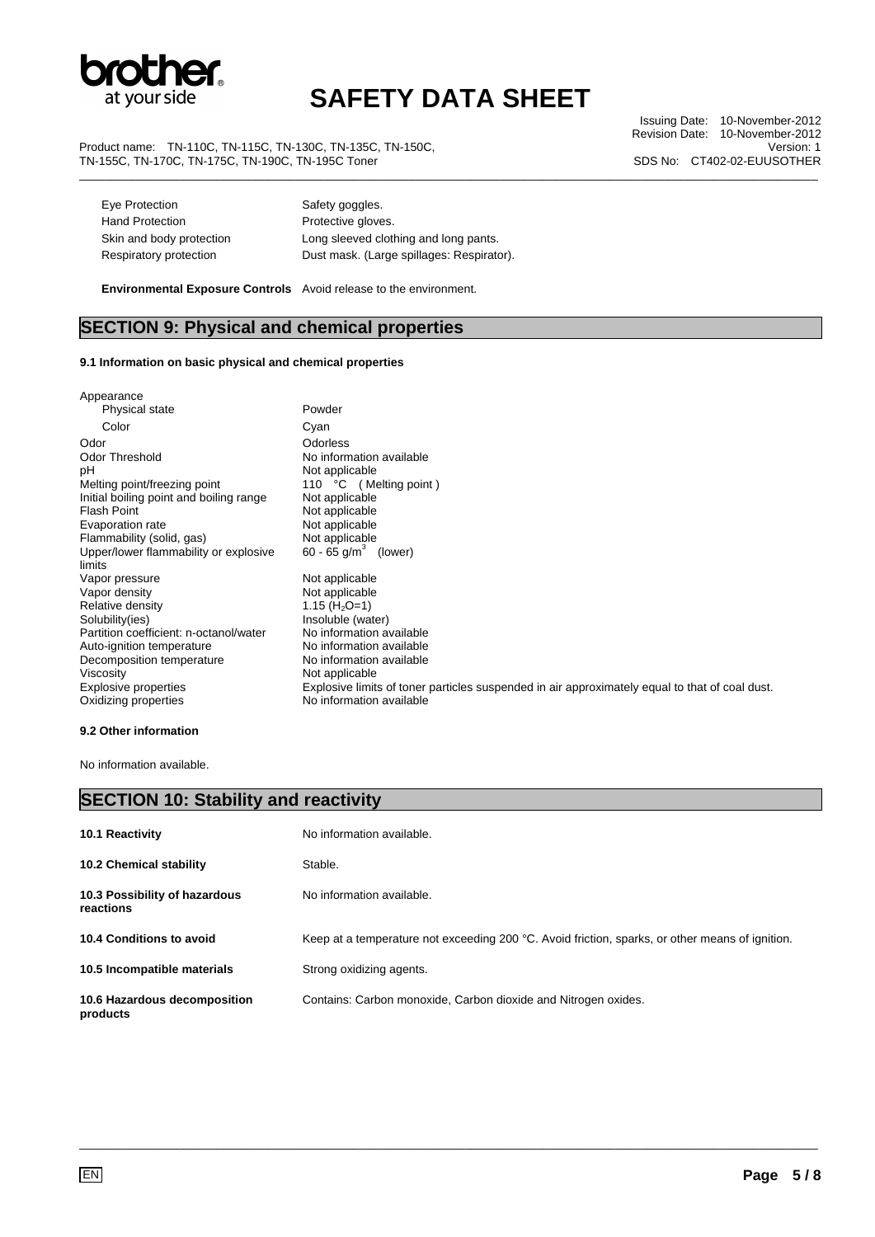

Product name: TN-110C, TN-115C, TN-130C, TN-135C, TN-150C, TN-155C, TN-170C, TN-175C, TN-190C, TN-195C Toner

Issuing Date: 10-November-2012 Revision Date: 10-November-2012 Version: 1 SDS No: CT402-02-EUUSOTHER \_\_\_\_\_\_\_\_\_\_\_\_\_\_\_\_\_\_\_\_\_\_\_\_\_\_\_\_\_\_\_\_\_\_\_\_\_\_\_\_\_\_\_\_\_\_\_\_\_\_\_\_\_\_\_\_\_\_\_\_\_\_\_\_\_\_\_\_\_\_\_\_\_\_\_\_\_\_\_\_\_\_\_\_\_\_\_\_\_\_\_\_\_\_\_\_\_\_\_\_\_\_\_\_\_\_\_\_\_\_\_\_\_

| Eye Protection           | Safety goggles.                           |
|--------------------------|-------------------------------------------|
| <b>Hand Protection</b>   | Protective gloves.                        |
| Skin and body protection | Long sleeved clothing and long pants.     |
| Respiratory protection   | Dust mask. (Large spillages: Respirator). |

 **Environmental Exposure Controls** Avoid release to the environment.

### **SECTION 9: Physical and chemical properties**

#### **9.1 Information on basic physical and chemical properties**

| Appearance                              |                                                                                                |
|-----------------------------------------|------------------------------------------------------------------------------------------------|
| Physical state                          | Powder                                                                                         |
| Color                                   | Cyan                                                                                           |
| Odor                                    | Odorless                                                                                       |
| Odor Threshold                          | No information available                                                                       |
| рH                                      | Not applicable                                                                                 |
| Melting point/freezing point            | 110 °C (Melting point)                                                                         |
| Initial boiling point and boiling range | Not applicable                                                                                 |
| Flash Point                             | Not applicable                                                                                 |
| Evaporation rate                        | Not applicable                                                                                 |
| Flammability (solid, gas)               | Not applicable                                                                                 |
| Upper/lower flammability or explosive   | 60 - 65 $q/m^3$ (lower)                                                                        |
| limits                                  |                                                                                                |
| Vapor pressure                          | Not applicable                                                                                 |
| Vapor density                           | Not applicable                                                                                 |
| Relative density                        | 1.15 ( $H_2O=1$ )                                                                              |
| Solubility(ies)                         | Insoluble (water)                                                                              |
| Partition coefficient: n-octanol/water  | No information available                                                                       |
| Auto-ignition temperature               | No information available                                                                       |
| Decomposition temperature               | No information available                                                                       |
| Viscosity                               | Not applicable                                                                                 |
| Explosive properties                    | Explosive limits of toner particles suspended in air approximately equal to that of coal dust. |
| Oxidizing properties                    | No information available                                                                       |
|                                         |                                                                                                |

#### **9.2 Other information**

No information available.

| <b>SECTION 10: Stability and reactivity</b> |                                                                                                 |  |
|---------------------------------------------|-------------------------------------------------------------------------------------------------|--|
| 10.1 Reactivity                             | No information available.                                                                       |  |
| <b>10.2 Chemical stability</b>              | Stable.                                                                                         |  |
| 10.3 Possibility of hazardous<br>reactions  | No information available.                                                                       |  |
| 10.4 Conditions to avoid                    | Keep at a temperature not exceeding 200 °C. Avoid friction, sparks, or other means of ignition. |  |
| 10.5 Incompatible materials                 | Strong oxidizing agents.                                                                        |  |
| 10.6 Hazardous decomposition<br>products    | Contains: Carbon monoxide, Carbon dioxide and Nitrogen oxides.                                  |  |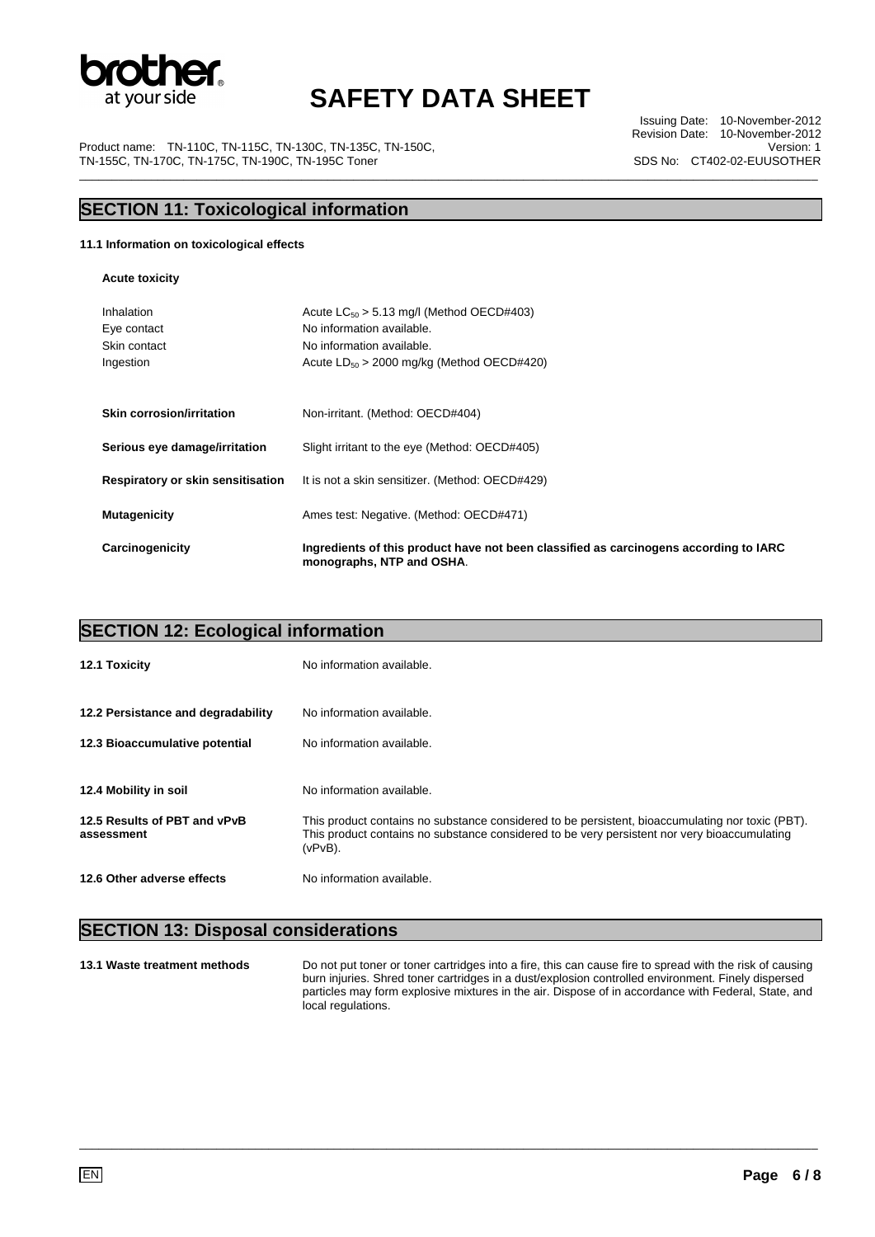

Issuing Date: 10-November-2012 Revision Date: 10-November-2012 Version: 1 SDS No: CT402-02-EUUSOTHER

Product name: TN-110C, TN-115C, TN-130C, TN-135C, TN-150C, TN-155C, TN-170C, TN-175C, TN-190C, TN-195C Toner \_\_\_\_\_\_\_\_\_\_\_\_\_\_\_\_\_\_\_\_\_\_\_\_\_\_\_\_\_\_\_\_\_\_\_\_\_\_\_\_\_\_\_\_\_\_\_\_\_\_\_\_\_\_\_\_\_\_\_\_\_\_\_\_\_\_\_\_\_\_\_\_\_\_\_\_\_\_\_\_\_\_\_\_\_\_\_\_\_\_\_\_\_\_\_\_\_\_\_\_\_\_\_\_\_\_\_\_\_\_\_\_\_

### **SECTION 11: Toxicological information**

#### **11.1 Information on toxicological effects**

**Acute toxicity** 

| Inhalation<br>Eye contact<br>Skin contact<br>Ingestion | Acute $LC_{50} > 5.13$ mg/l (Method OECD#403)<br>No information available.<br>No information available.<br>Acute $LD_{50} > 2000$ mg/kg (Method OECD#420) |
|--------------------------------------------------------|-----------------------------------------------------------------------------------------------------------------------------------------------------------|
| <b>Skin corrosion/irritation</b>                       | Non-irritant. (Method: OECD#404)                                                                                                                          |
| Serious eye damage/irritation                          | Slight irritant to the eye (Method: OECD#405)                                                                                                             |
| Respiratory or skin sensitisation                      | It is not a skin sensitizer. (Method: OECD#429)                                                                                                           |
| <b>Mutagenicity</b>                                    | Ames test: Negative. (Method: OECD#471)                                                                                                                   |
| Carcinogenicity                                        | Ingredients of this product have not been classified as carcinogens according to IARC<br>monographs, NTP and OSHA.                                        |

| <b>SECTION 12: Ecological information</b>  |                                                                                                                                                                                                                |  |
|--------------------------------------------|----------------------------------------------------------------------------------------------------------------------------------------------------------------------------------------------------------------|--|
| 12.1 Toxicity                              | No information available.                                                                                                                                                                                      |  |
| 12.2 Persistance and degradability         | No information available.                                                                                                                                                                                      |  |
| 12.3 Bioaccumulative potential             | No information available.                                                                                                                                                                                      |  |
| 12.4 Mobility in soil                      | No information available.                                                                                                                                                                                      |  |
| 12.5 Results of PBT and vPvB<br>assessment | This product contains no substance considered to be persistent, bioaccumulating nor toxic (PBT).<br>This product contains no substance considered to be very persistent nor very bioaccumulating<br>$(vPvB)$ . |  |
| 12.6 Other adverse effects                 | No information available.                                                                                                                                                                                      |  |

\_\_\_\_\_\_\_\_\_\_\_\_\_\_\_\_\_\_\_\_\_\_\_\_\_\_\_\_\_\_\_\_\_\_\_\_\_\_\_\_\_\_\_\_\_\_\_\_\_\_\_\_\_\_\_\_\_\_\_\_\_\_\_\_\_\_\_\_\_\_\_\_\_\_\_\_\_\_\_\_\_\_\_\_\_\_\_\_\_\_\_\_\_\_\_\_\_\_\_\_\_\_\_\_\_\_\_\_\_\_\_\_\_

### **SECTION 13: Disposal considerations**

**13.1 Waste treatment methods** Do not put toner or toner cartridges into a fire, this can cause fire to spread with the risk of causing burn injuries. Shred toner cartridges in a dust/explosion controlled environment. Finely dispersed particles may form explosive mixtures in the air. Dispose of in accordance with Federal, State, and local regulations.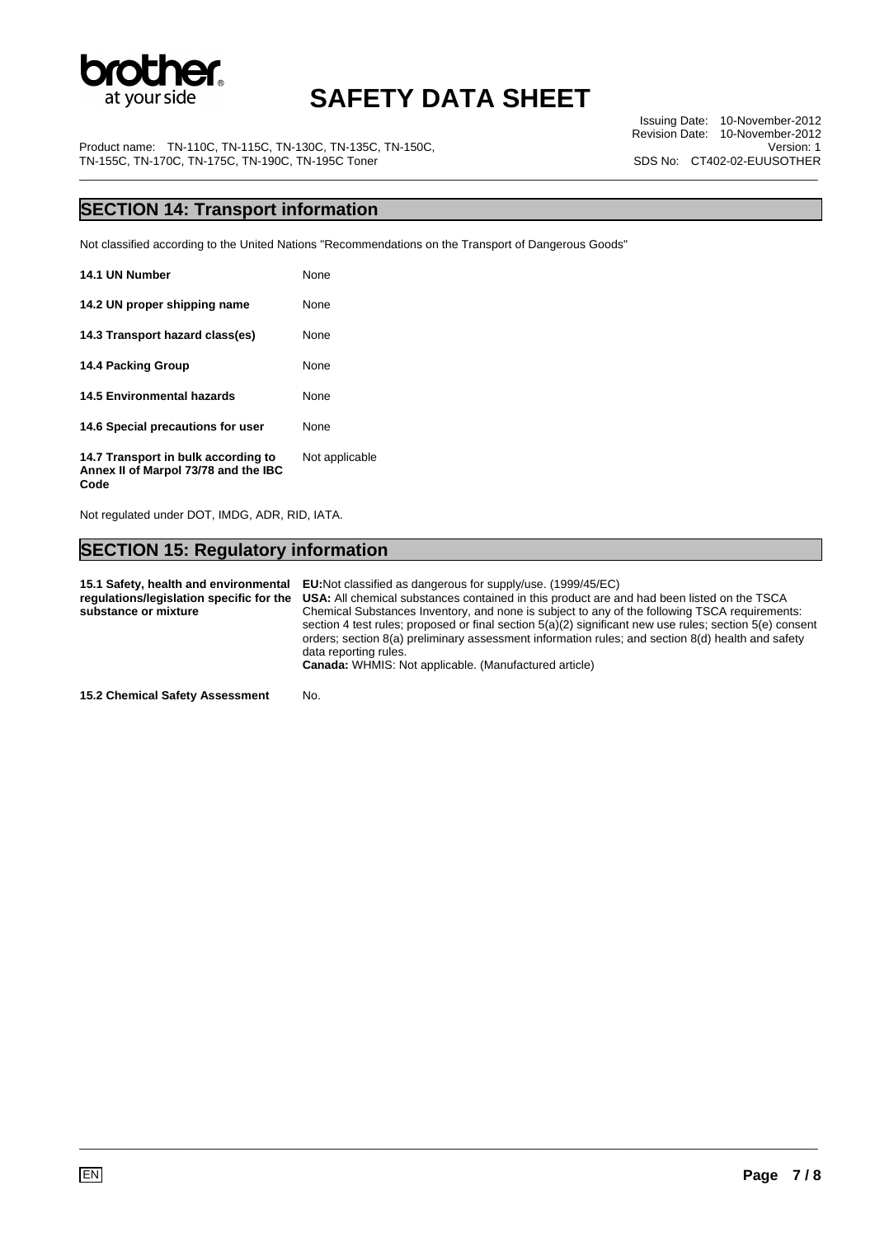

Issuing Date: 10-November-2012 Revision Date: 10-November-2012 Version: 1 SDS No: CT402-02-EUUSOTHER

Product name: TN-110C, TN-115C, TN-130C, TN-135C, TN-150C, TN-155C, TN-170C, TN-175C, TN-190C, TN-195C Toner \_\_\_\_\_\_\_\_\_\_\_\_\_\_\_\_\_\_\_\_\_\_\_\_\_\_\_\_\_\_\_\_\_\_\_\_\_\_\_\_\_\_\_\_\_\_\_\_\_\_\_\_\_\_\_\_\_\_\_\_\_\_\_\_\_\_\_\_\_\_\_\_\_\_\_\_\_\_\_\_\_\_\_\_\_\_\_\_\_\_\_\_\_\_\_\_\_\_\_\_\_\_\_\_\_\_\_\_\_\_\_\_\_

### **SECTION 14: Transport information**

Not classified according to the United Nations "Recommendations on the Transport of Dangerous Goods"

| 14.1 UN Number                                                              | None           |
|-----------------------------------------------------------------------------|----------------|
| 14.2 UN proper shipping name                                                | None           |
| 14.3 Transport hazard class(es)                                             | None           |
| <b>14.4 Packing Group</b>                                                   | None           |
| 14.5 Environmental hazards                                                  | None           |
| 14.6 Special precautions for user                                           | None           |
| 14.7 Transport in bulk according to<br>Annex II of Marpol 73/78 and the IBC | Not applicable |

Not regulated under DOT, IMDG, ADR, RID, IATA.

**Code** 

### **SECTION 15: Regulatory information**

**15.1 Safety, health and environmental EU:**Not classified as dangerous for supply/use. (1999/45/EC) **regulations/legislation specific for the substance or mixture USA:** All chemical substances contained in this product are and had been listed on the TSCA Chemical Substances Inventory, and none is subject to any of the following TSCA requirements: section 4 test rules; proposed or final section 5(a)(2) significant new use rules; section 5(e) consent orders; section 8(a) preliminary assessment information rules; and section 8(d) health and safety data reporting rules. **Canada:** WHMIS: Not applicable. (Manufactured article)

\_\_\_\_\_\_\_\_\_\_\_\_\_\_\_\_\_\_\_\_\_\_\_\_\_\_\_\_\_\_\_\_\_\_\_\_\_\_\_\_\_\_\_\_\_\_\_\_\_\_\_\_\_\_\_\_\_\_\_\_\_\_\_\_\_\_\_\_\_\_\_\_\_\_\_\_\_\_\_\_\_\_\_\_\_\_\_\_\_\_\_\_\_\_\_\_\_\_\_\_\_\_\_\_\_\_\_\_\_\_\_\_\_

**15.2 Chemical Safety Assessment** No.